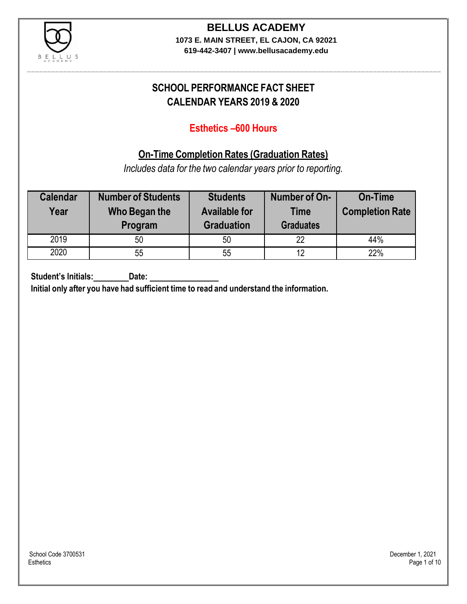

## **BELLUS ACADEMY**

**1073 E. MAIN STREET, EL CAJON, CA 92021 619-442-3407 | www.bellusacademy.edu**

### **SCHOOL PERFORMANCE FACT SHEET CALENDAR YEARS 2019 & 2020**

### **Esthetics –600 Hours**

### **On-Time Completion Rates (Graduation Rates)**

*Includes data for the two calendar years prior to reporting.*

| <b>Calendar</b><br>Year | <b>Number of Students</b><br>Who Began the<br>Program | <b>Students</b><br><b>Available for</b><br><b>Graduation</b> | Number of On-<br><b>Time</b><br><b>Graduates</b> | <b>On-Time</b><br><b>Completion Rate</b> |
|-------------------------|-------------------------------------------------------|--------------------------------------------------------------|--------------------------------------------------|------------------------------------------|
| 2019                    | 50                                                    | 50                                                           | 22                                               | 44%                                      |
| 2020                    | 55                                                    | 55                                                           | 12                                               | 22%                                      |

**Student's Initials: Date:**

**Initial only after you have had sufficient time to read and understand the information.**

School Code 3700531 December 1, 2021<br>Esthetics Page 1 of 10 Esthetics Page 1 of 10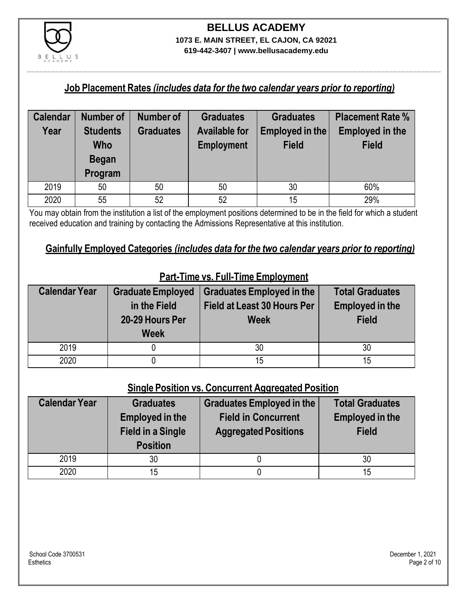

## **BELLUS ACADEMY 1073 E. MAIN STREET, EL CAJON, CA 92021**

**619-442-3407 | www.bellusacademy.edu**

#### **Job Placement Rates** *(includes data for the two calendar years prior to reporting)*

| <b>Calendar</b> | Number of       | <b>Number of</b> | <b>Graduates</b>     | <b>Graduates</b> | <b>Placement Rate %</b> |
|-----------------|-----------------|------------------|----------------------|------------------|-------------------------|
| Year            | <b>Students</b> | <b>Graduates</b> | <b>Available for</b> | Employed in the  | <b>Employed in the</b>  |
|                 | <b>Who</b>      |                  | <b>Employment</b>    | <b>Field</b>     | <b>Field</b>            |
|                 | <b>Began</b>    |                  |                      |                  |                         |
|                 | Program         |                  |                      |                  |                         |
| 2019            | 50              | 50               | 50                   | 30               | 60%                     |
| 2020            | 55              | 52               | 52                   | 15               | 29%                     |

You may obtain from the institution a list of the employment positions determined to be in the field for which a student received education and training by contacting the Admissions Representative at this institution.

### **Gainfully Employed Categories** *(includes data for the two calendar years prior to reporting)*

| <b>Calendar Year</b> | <b>Graduate Employed</b><br>in the Field<br>20-29 Hours Per<br><b>Week</b> | <b>Graduates Employed in the</b><br><b>Field at Least 30 Hours Per</b><br><b>Week</b> | <b>Total Graduates</b><br><b>Employed in the</b><br><b>Field</b> |
|----------------------|----------------------------------------------------------------------------|---------------------------------------------------------------------------------------|------------------------------------------------------------------|
| 2019                 |                                                                            | 30                                                                                    | 30                                                               |
| 2020                 |                                                                            | 15                                                                                    | 15                                                               |

### **Part-Time vs. Full-Time Employment**

#### **Single Position vs. Concurrent Aggregated Position**

| <b>Calendar Year</b> | <b>Graduates</b><br><b>Employed in the</b><br><b>Field in a Single</b><br><b>Position</b> | Graduates Employed in the<br><b>Field in Concurrent</b><br><b>Aggregated Positions</b> | <b>Total Graduates</b><br><b>Employed in the</b><br><b>Field</b> |
|----------------------|-------------------------------------------------------------------------------------------|----------------------------------------------------------------------------------------|------------------------------------------------------------------|
| 2019                 | 30                                                                                        |                                                                                        | 30                                                               |
| 2020                 | 15                                                                                        |                                                                                        | 15                                                               |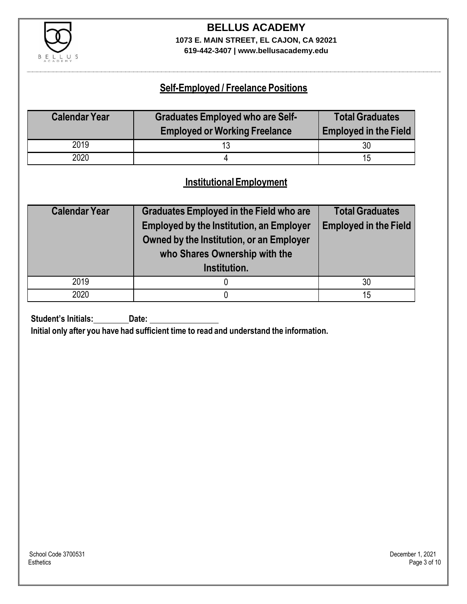

### **BELLUS ACADEMY 1073 E. MAIN STREET, EL CAJON, CA 92021**

**619-442-3407 | www.bellusacademy.edu**

### **Self-Employed / Freelance Positions**

| <b>Calendar Year</b> | <b>Graduates Employed who are Self-</b> | <b>Total Graduates</b>       |
|----------------------|-----------------------------------------|------------------------------|
|                      | <b>Employed or Working Freelance</b>    | <b>Employed in the Field</b> |
| 2019                 | 13                                      | 30                           |
| 2020                 |                                         | 15                           |

### **InstitutionalEmployment**

| <b>Calendar Year</b> | <b>Graduates Employed in the Field who are</b><br><b>Employed by the Institution, an Employer</b><br>Owned by the Institution, or an Employer<br>who Shares Ownership with the<br>Institution. | <b>Total Graduates</b><br><b>Employed in the Field</b> |
|----------------------|------------------------------------------------------------------------------------------------------------------------------------------------------------------------------------------------|--------------------------------------------------------|
| 2019                 |                                                                                                                                                                                                | 30                                                     |
| 2020                 |                                                                                                                                                                                                | 15                                                     |

**Student's Initials:** Date:

**Initial only after you have had sufficient time to read and understand the information.**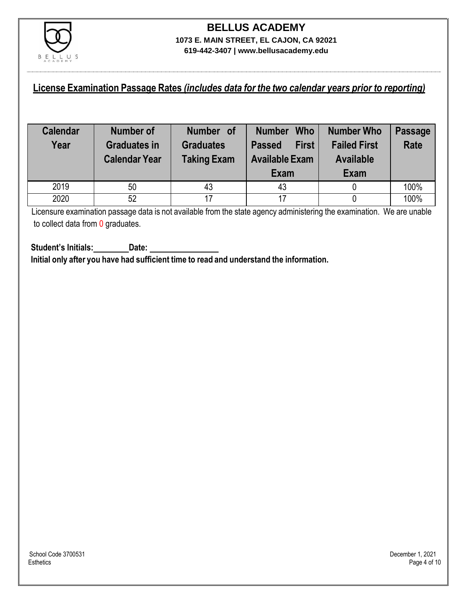

#### **License Examination Passage Rates** *(includes data for the two calendar years prior to reporting)*

| <b>Calendar</b><br>Year | Number of<br><b>Graduates in</b><br><b>Calendar Year</b> | Number of<br><b>Graduates</b><br><b>Taking Exam</b> | <b>Who</b><br><b>Number</b><br><b>First</b><br><b>Passed</b><br><b>Available Exam</b><br>Exam | <b>Number Who</b><br><b>Failed First</b><br><b>Available</b><br>Exam | Passage<br><b>Rate</b> |
|-------------------------|----------------------------------------------------------|-----------------------------------------------------|-----------------------------------------------------------------------------------------------|----------------------------------------------------------------------|------------------------|
| 2019                    | 50                                                       | 43                                                  | 43                                                                                            |                                                                      | 100%                   |
| 2020                    | 52                                                       | 17                                                  | 17                                                                                            |                                                                      | 100%                   |

Licensure examination passage data is not available from the state agency administering the examination. We are unable to collect data from 0 graduates.

**Student's Initials: Date: Initial only after you have had sufficient time to read and understand the information.**

School Code 3700531 December 1, 2021<br>Esthetics Page 4 of 10

Esthetics Page 4 of 10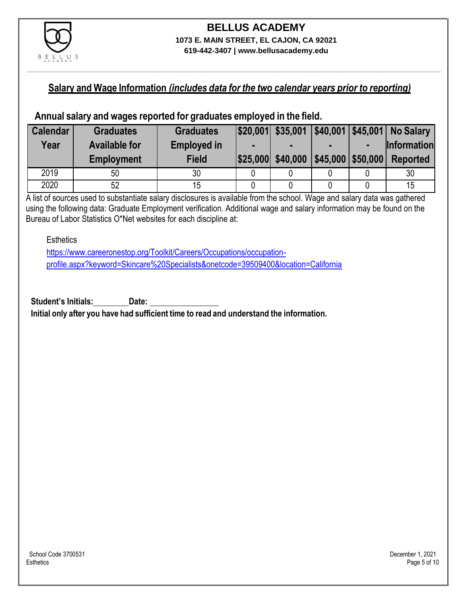

#### **Salary and Wage Information** *(includes data for the two calendar years prior to reporting)*

#### **Annual salary and wages reported for graduates employed in the field.**

| <b>Calendar</b> | <b>Graduates</b>     | <b>Graduates</b>   |                   |                                                  | $ $20,001$ $$35,001$ $ $40,001$ $ $45,001$ No Salary |
|-----------------|----------------------|--------------------|-------------------|--------------------------------------------------|------------------------------------------------------|
| Year            | <b>Available for</b> | <b>Employed in</b> |                   |                                                  | <b>Information</b>                                   |
|                 | <b>Employment</b>    | <b>Field</b>       | \$25,000 \$40,000 | $\left  \frac{1}{2}$ \$45,000 $\right $ \$50,000 | <b>Reported</b>                                      |
| 2019            | 50                   | 30                 |                   |                                                  | 30                                                   |
| 2020            | 52                   |                    |                   |                                                  | 15                                                   |

A list of sources used to substantiate salary disclosures is available from the school. Wage and salary data was gathered using the following data: Graduate Employment verification. Additional wage and salary information may be found on the Bureau of Labor Statistics O\*Net websites for each discipline at:

**Esthetics** 

[https://www.careeronestop.org/Toolkit/Careers/Occupations/occupation](https://www.careeronestop.org/Toolkit/Careers/Occupations/occupation-profile.aspx?keyword=Skincare%20Specialists&onetcode=39509400&location=California)[profile.aspx?keyword=Skincare%20Specialists&onetcode=39509400&location=California](https://www.careeronestop.org/Toolkit/Careers/Occupations/occupation-profile.aspx?keyword=Skincare%20Specialists&onetcode=39509400&location=California)

**Student's Initials: Date: Initial only after you have had sufficient time to read and understand the information.**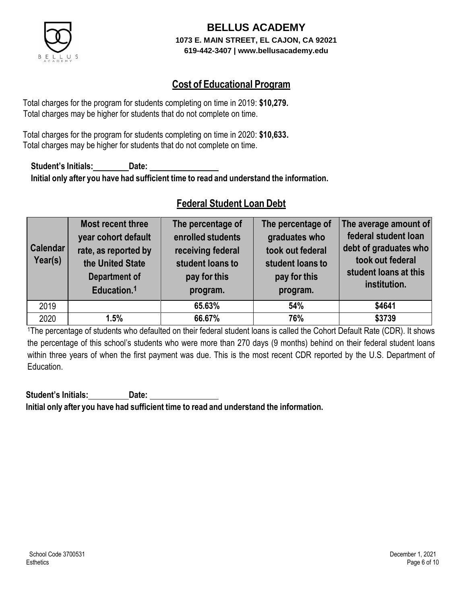

### **Cost of Educational Program**

Total charges for the program for students completing on time in 2019: **\$10,279.** Total charges may be higher for students that do not complete on time.

Total charges for the program for students completing on time in 2020: **\$10,633.** Total charges may be higher for students that do not complete on time.

**Student's Initials: Date: Initial only after you have had sufficient time to read and understand the information.**

### **Federal Student Loan Debt**

| <b>Calendar</b><br>Year(s) | Most recent three<br>year cohort default<br>rate, as reported by<br>the United State<br><b>Department of</b><br>Education. <sup>1</sup> | The percentage of<br>enrolled students<br>receiving federal<br>student loans to<br>pay for this<br>program. | The percentage of<br>graduates who<br>took out federal<br>student loans to<br>pay for this<br>program. | The average amount of<br>federal student loan<br>debt of graduates who<br>took out federal<br>student loans at this<br>institution. |
|----------------------------|-----------------------------------------------------------------------------------------------------------------------------------------|-------------------------------------------------------------------------------------------------------------|--------------------------------------------------------------------------------------------------------|-------------------------------------------------------------------------------------------------------------------------------------|
| 2019                       |                                                                                                                                         | 65.63%                                                                                                      | 54%                                                                                                    | \$4641                                                                                                                              |
| 2020                       | 1.5%                                                                                                                                    | 66.67%                                                                                                      | 76%                                                                                                    | \$3739                                                                                                                              |

<sup>1</sup>The percentage of students who defaulted on their federal student loans is called the Cohort Default Rate (CDR). It shows the percentage of this school's students who were more than 270 days (9 months) behind on their federal student loans within three years of when the first payment was due. This is the most recent CDR reported by the U.S. Department of Education.

**Student's Initials: Date: Initial only after you have had sufficient time to read and understand the information.**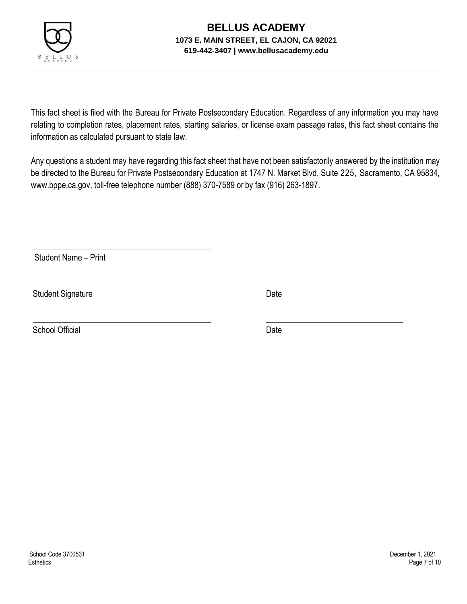

This fact sheet is filed with the Bureau for Private Postsecondary Education. Regardless of any information you may have relating to completion rates, placement rates, starting salaries, or license exam passage rates, this fact sheet contains the information as calculated pursuant to state law.

Any questions a student may have regarding this fact sheet that have not been satisfactorily answered by the institution may be directed to the Bureau for Private Postsecondary Education at 1747 N. Market Blvd, Suite 225, Sacramento, CA 95834, [www.bppe.ca.gov,](http://www.bppe.ca.gov/) toll-free telephone number (888) 370-7589 or by fax (916) 263-1897.

Student Name – Print

Student Signature Date Date

School Official Date Date Date Date Date Date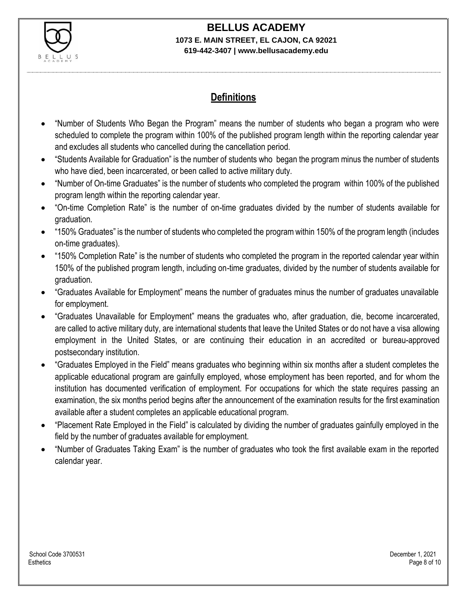

# **BELLUS ACADEMY**

#### **1073 E. MAIN STREET, EL CAJON, CA 92021 619-442-3407 | www.bellusacademy.edu**

### **Definitions**

- "Number of Students Who Began the Program" means the number of students who began a program who were scheduled to complete the program within 100% of the published program length within the reporting calendar year and excludes all students who cancelled during the cancellation period.
- "Students Available for Graduation" is the number of students who began the program minus the number of students who have died, been incarcerated, or been called to active military duty.
- "Number of On-time Graduates" is the number of students who completed the program within 100% of the published program length within the reporting calendar year.
- "On-time Completion Rate" is the number of on-time graduates divided by the number of students available for graduation.
- "150% Graduates" is the number of students who completed the program within 150% of the program length (includes on-time graduates).
- "150% Completion Rate" is the number of students who completed the program in the reported calendar year within 150% of the published program length, including on-time graduates, divided by the number of students available for graduation.
- "Graduates Available for Employment" means the number of graduates minus the number of graduates unavailable for employment.
- "Graduates Unavailable for Employment" means the graduates who, after graduation, die, become incarcerated, are called to active military duty, are international students that leave the United States or do not have a visa allowing employment in the United States, or are continuing their education in an accredited or bureau-approved postsecondary institution.
- "Graduates Employed in the Field" means graduates who beginning within six months after a student completes the applicable educational program are gainfully employed, whose employment has been reported, and for whom the institution has documented verification of employment. For occupations for which the state requires passing an examination, the six months period begins after the announcement of the examination results for the first examination available after a student completes an applicable educational program.
- "Placement Rate Employed in the Field" is calculated by dividing the number of graduates gainfully employed in the field by the number of graduates available for employment.
- "Number of Graduates Taking Exam" is the number of graduates who took the first available exam in the reported calendar year.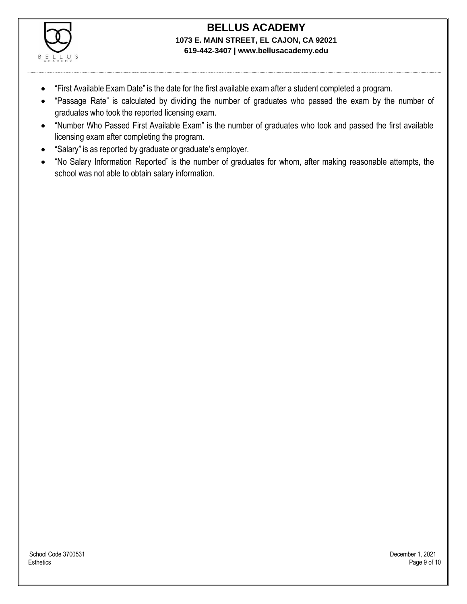

- "First Available Exam Date" is the date for the first available exam after a student completed a program.
- "Passage Rate" is calculated by dividing the number of graduates who passed the exam by the number of graduates who took the reported licensing exam.
- "Number Who Passed First Available Exam" is the number of graduates who took and passed the first available licensing exam after completing the program.
- "Salary" is as reported by graduate or graduate's employer.
- "No Salary Information Reported" is the number of graduates for whom, after making reasonable attempts, the school was not able to obtain salary information.